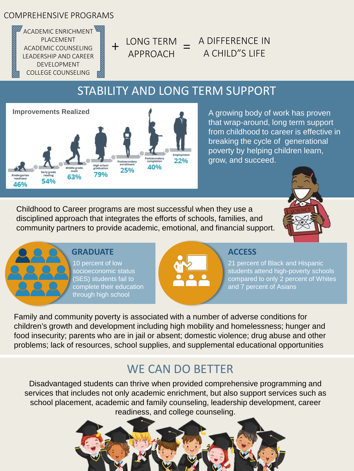### COMPREHENSIVE PROGRAMS

ACADEMIC ENRICHMENT PLACEMENT ACADEMIC COUNSELING LEADERSHIP AND CAREER DEVELOPMENT COLLEGE COUNSELING

 $+$  LONG TERM  $=$ APPROACH

- A DIFFERENCE IN A CHILD"S LIFE

# STABILITY AND LONG TERM SUPPORT



A growing body of work has proven that wrap-around, long term support from childhood to career is effective in breaking the cycle of generational poverty by helping children learn, grow, and succeed.

Childhood to Career programs are most successful when they use a disciplined approach that integrates the efforts of schools, families, and community partners to provide academic, emotional, and financial support.





### **GRADUATE**

10 percent of low socioeconomic status (SES) students fail to complete their education through high school



### **ACCESS**

21 percent of Black and Hispanic students attend high-poverty schools compared to only 2 percent of Whites and 7 percent of Asians

Family and community poverty is associated with a number of adverse conditions for children's growth and development including high mobility and homelessness; hunger and food insecurity; parents who are in jail or absent; domestic violence; drug abuse and other problems; lack of resources, school supplies, and supplemental educational opportunities

# WE CAN DO BETTER

Disadvantaged students can thrive when provided comprehensive programming and services that includes not only academic enrichment, but also support services such as school placement, academic and family counseling, leadership development, career readiness, and college counseling.